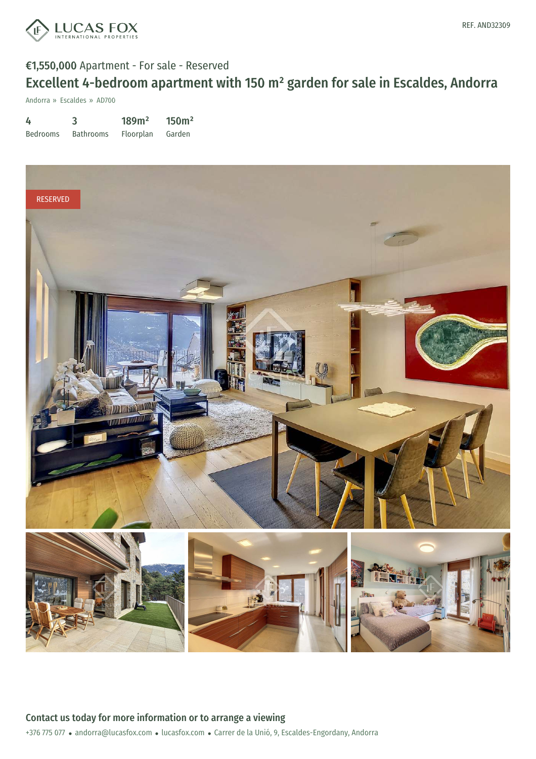

# €1,550,000 Apartment - For sale - Reserved Excellent 4-bedroom apartment with 150 m² garden for sale in Escaldes, Andorra

Andorra » Escaldes » AD700

| 4               | 3                | 189m <sup>2</sup> | 150 <sup>m²</sup> |
|-----------------|------------------|-------------------|-------------------|
| <b>Bedrooms</b> | <b>Bathrooms</b> | Floorplan         | Garden            |

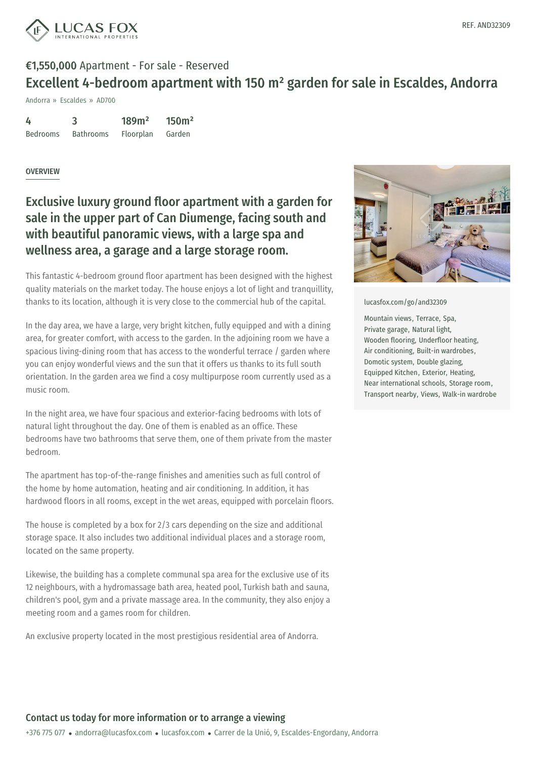

### €1,550,000 Apartment - For sale - Reserved Excellent 4-bedroom apartment with 150 m² garden for sale in Escaldes, Andorra

Andorra » Escaldes » AD700

| 4               | 3                | 189m <sup>2</sup> | 150m <sup>2</sup> |
|-----------------|------------------|-------------------|-------------------|
| <b>Bedrooms</b> | <b>Bathrooms</b> | Floorplan         | Garden            |

#### **OVERVIEW**

### Exclusive luxury ground floor apartment with a garden for sale in the upper part of Can Diumenge, facing south and with beautiful panoramic views, with a large spa and wellness area, a garage and a large storage room.

This fantastic 4-bedroom ground floor apartment has been designed with the highest quality materials on the market today. The house enjoys a lot of light and tranquillity, thanks to its location, although it is very close to the commercial hub of the capital.

In the day area, we have a large, very bright kitchen, fully equipped and with a dining area, for greater comfort, with access to the garden. In the adjoining room we have a spacious living-dining room that has access to the wonderful terrace / garden where you can enjoy wonderful views and the sun that it offers us thanks to its full south orientation. In the garden area we find a cosy multipurpose room currently used as a music room.

In the night area, we have four spacious and exterior-facing bedrooms with lots of natural light throughout the day. One of them is enabled as an office. These bedrooms have two bathrooms that serve them, one of them private from the master bedroom.

The apartment has top-of-the-range finishes and amenities such as full control of the home by home automation, heating and air conditioning. In addition, it has hardwood floors in all rooms, except in the wet areas, equipped with porcelain floors.

The house is completed by a box for 2/3 cars depending on the size and additional storage space. It also includes two additional individual places and a storage room, located on the same property.

Likewise, the [building](mailto:andorra@lucasfox.com) has a complete [communal](https://www.lucasfox.com) spa area for the exclusive use of its 12 neighbours, with a hydromassage bath area, heated pool, Turkish bath and sauna, children's pool, gym and a private massage area. In the community, they also enjoy a meeting room and a games room for children.

An exclusive property located in the most prestigious residential area of Andorra.



[lucasfox.com/go/and32309](https://www.lucasfox.com/go/and32309)

Mountain views, Terrace, Spa, Private garage, Natural light, Wooden flooring, Underfloor heating, Air conditioning, Built-in wardrobes, Domotic system, Double glazing, Equipped Kitchen, Exterior, Heating, Near international schools, Storage room, Transport nearby, Views, Walk-in wardrobe